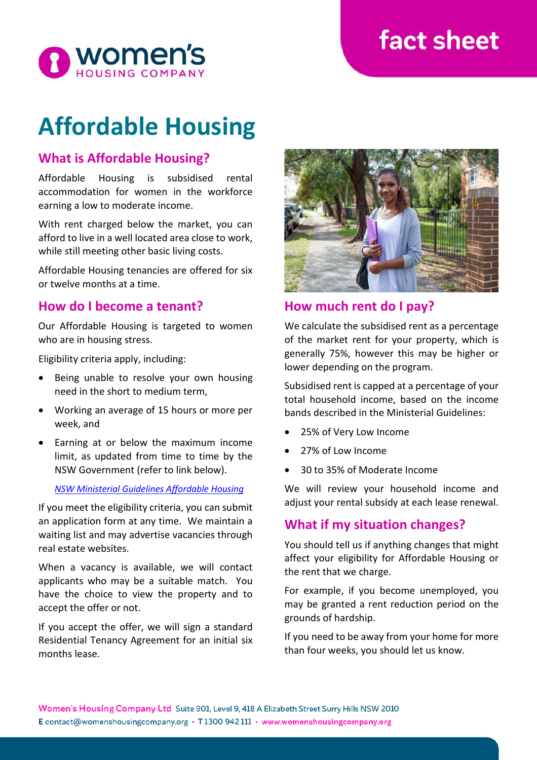# **fact sheet**



# **Affordable Housing**

# **What is Affordable Housing?**

Affordable Housing is subsidised rental accommodation for women in the workforce earning a low to moderate income.

With rent charged below the market, you can afford to live in a well located area close to work, while still meeting other basic living costs.

Affordable Housing tenancies are offered for six or twelve months at a time.

## **How do I become a tenant?**

Our Affordable Housing is targeted to women who are in housing stress.

Eligibility criteria apply, including:

- Being unable to resolve your own housing need in the short to medium term,
- Working an average of 15 hours or more per week, and
- Earning at or below the maximum income limit, as updated from time to time by the NSW Government (refer to link below).

#### *[NSW Ministerial Guidelines Affordable Housing](https://www.facs.nsw.gov.au/download?file=332789)*

If you meet the eligibility criteria, you can submit an application form at any time. We maintain a waiting list and may advertise vacancies through real estate websites.

When a vacancy is available, we will contact applicants who may be a suitable match. You have the choice to view the property and to accept the offer or not.

If you accept the offer, we will sign a standard Residential Tenancy Agreement for an initial six months lease.



## **How much rent do I pay?**

We calculate the subsidised rent as a percentage of the market rent for your property, which is generally 75%, however this may be higher or lower depending on the program.

Subsidised rent is capped at a percentage of your total household income, based on the income bands described in the Ministerial Guidelines:

- 25% of Very Low Income
- 27% of Low Income
- 30 to 35% of Moderate Income

We will review your household income and adjust your rental subsidy at each lease renewal.

## **What if my situation changes?**

You should tell us if anything changes that might affect your eligibility for Affordable Housing or the rent that we charge.

For example, if you become unemployed, you may be granted a rent reduction period on the grounds of hardship.

If you need to be away from your home for more than four weeks, you should let us know.